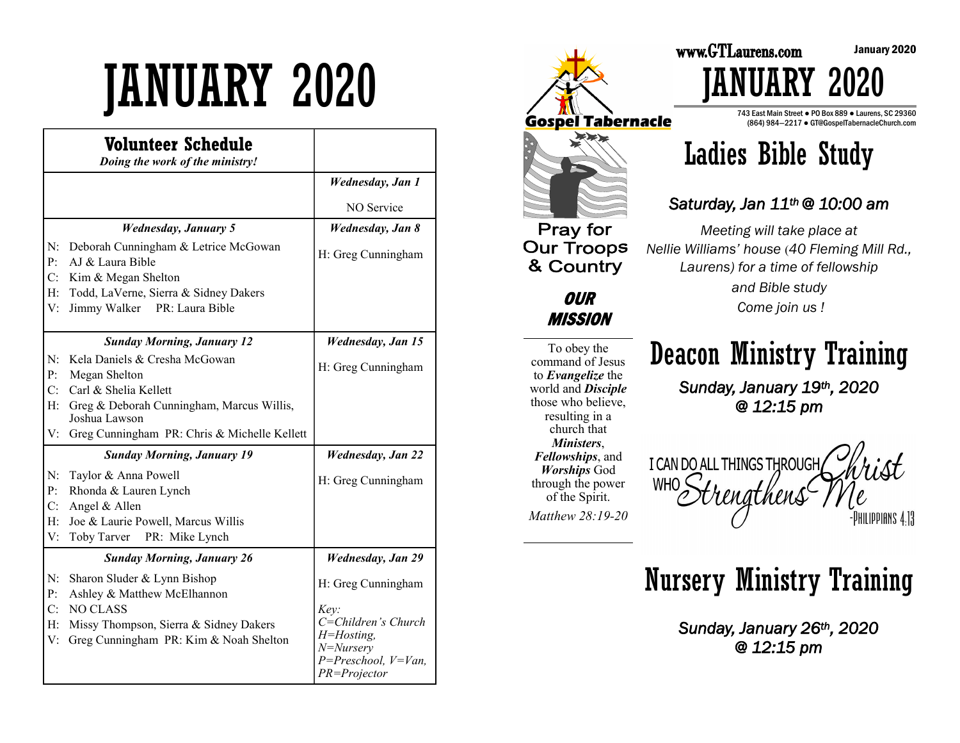# JANUARY 2020

|          | Volunteer Schedule<br>Doing the work of the ministry!      |                                           |
|----------|------------------------------------------------------------|-------------------------------------------|
|          |                                                            | <b>Wednesday</b> , Jan 1                  |
|          |                                                            | NO Service                                |
|          | <b>Wednesday, January 5</b>                                | <b>Wednesday</b> , Jan 8                  |
| N:<br>P: | Deborah Cunningham & Letrice McGowan<br>AJ & Laura Bible   | H: Greg Cunningham                        |
| C:       | Kim & Megan Shelton                                        |                                           |
| H:       | Todd, LaVerne, Sierra & Sidney Dakers                      |                                           |
| V:       | Jimmy Walker<br>PR: Laura Bible                            |                                           |
|          | <b>Sunday Morning, January 12</b>                          | <b>Wednesday, Jan 15</b>                  |
| N:       | Kela Daniels & Cresha McGowan                              | H: Greg Cunningham                        |
| P:       | Megan Shelton                                              |                                           |
| C:       | Carl & Shelia Kellett                                      |                                           |
| H:       | Greg & Deborah Cunningham, Marcus Willis,<br>Joshua Lawson |                                           |
| V:       | Greg Cunningham PR: Chris & Michelle Kellett               |                                           |
|          | <b>Sunday Morning, January 19</b>                          | <b>Wednesday</b> , Jan 22                 |
| N:       | Taylor & Anna Powell                                       | H: Greg Cunningham                        |
| P:       | Rhonda & Lauren Lynch                                      |                                           |
| C:       | Angel & Allen                                              |                                           |
| H:       | Joe & Laurie Powell, Marcus Willis                         |                                           |
| V:       | Toby Tarver PR: Mike Lynch                                 |                                           |
|          | <b>Sunday Morning, January 26</b>                          | <b>Wednesday</b> , Jan 29                 |
| N:       | Sharon Sluder & Lynn Bishop                                | H: Greg Cunningham                        |
| P:       | Ashley & Matthew McElhannon                                |                                           |
| C:       | <b>NO CLASS</b>                                            | Key:                                      |
| H:       | Missy Thompson, Sierra & Sidney Dakers                     | C=Children's Church<br>$H = H$ osting,    |
| V:       | Greg Cunningham PR: Kim & Noah Shelton                     | $N = Nursery$                             |
|          |                                                            | $P = Preschool, V = Van,$<br>PR=Projector |



To obey the command of Jesus to *Evangelize* the world and *Disciple*  those who believe, resulting in a church that *Ministers*, *Fellowships*, and *Worships* God through the power of the Spirit. *Matthew 28:19-20* 

**OUR MISSION** 

Deacon Ministry Training

*Meeting will take place at* 

Ladies Bible Study

*Laurens) for a time of fellowship and Bible study Come join us !*

JANUARY 2020

743 East Main Street ● PO Box 889 ● Laurens, SC 29360 (864) 984—2217 ● GT@GospelTabernacleChurch.com

*Sunday, January 19th, 2020 @ 12:15 pm*

I CAN DO ALL THINGS THROUGH **WHO** HILIPPIANS 4.13

# Nursery Ministry Training

*Sunday, January 26th, 2020 @ 12:15 pm*

January 2020